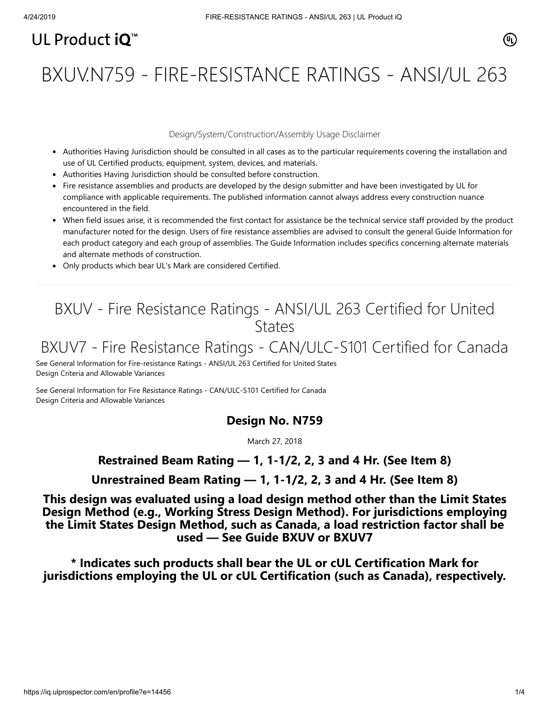# UL Product  $i\mathbf{O}^m$

# BXUV.N759 - FIRE-RESISTANCE RATINGS - ANSI/UL 263

#### Design/System/Construction/Assembly Usage Disclaimer

- Authorities Having Jurisdiction should be consulted in all cases as to the particular requirements covering the installation and use of UL Certified products, equipment, system, devices, and materials.
- Authorities Having Jurisdiction should be consulted before construction.
- Fire resistance assemblies and products are developed by the design submitter and have been investigated by UL for compliance with applicable requirements. The published information cannot always address every construction nuance encountered in the field.
- When field issues arise, it is recommended the first contact for assistance be the technical service staff provided by the product manufacturer noted for the design. Users of fire resistance assemblies are advised to consult the general Guide Information for each product category and each group of assemblies. The Guide Information includes specifics concerning alternate materials and alternate methods of construction.
- Only products which bear UL's Mark are considered Certified.

### BXUV - Fire Resistance Ratings - ANSI/UL 263 Certified for United **States**

## BXUV7 - Fire Resistance Ratings - CAN/ULC-S101 Certified for Canada

[See General Information for Fire-resistance Ratings - ANSI/UL 263 Certified for United States](https://iq.ulprospector.com/cgi-bin/XYV/template/LISEXT/1FRAME/showpage.html?name=BXUV.GuideInfo&ccnshorttitle=Fire-resistance+Ratings+-+ANSI/UL+263&objid=1074327030&cfgid=1073741824&version=versionless&parent_id=1073984818&sequence=1) Design Criteria and Allowable Variances

[See General Information for Fire Resistance Ratings - CAN/ULC-S101 Certified for Canada](https://iq.ulprospector.com/cgi-bin/XYV/template/LISEXT/1FRAME/showpage.html?name=BXUV7.GuideInfo&ccnshorttitle=Fire+Resistance+Ratings+-+CAN/ULC-S101+Certified+for+Canada&objid=1074205658&cfgid=1073741824&version=versionless&parent_id=1073984820&sequence=1) Design Criteria and Allowable Variances

### **Design No. N759**

March 27, 2018

### **Restrained Beam Rating — 1, 1-1/2, 2, 3 and 4 Hr. (See Item 8)**

**Unrestrained Beam Rating — 1, 1-1/2, 2, 3 and 4 Hr. (See Item 8)**

**This design was evaluated using a load design method other than the Limit States Design Method (e.g., Working Stress Design Method). For jurisdictions employing the Limit States Design Method, such as Canada, a load restriction factor shall be used — See Guide [BXUV](http://database.ul.com/cgi-bin/XYV/template/LISEXT/1FRAME/showpage.html?name=BXUV.GuideInfo&ccnshorttitle=Fire-resistance+Ratings+-+ANSI/UL+263&objid=1074327030&cfgid=1073741824&version=versionless&parent_id=1073984818&sequence=1) or [BXUV7](http://database.ul.com/cgi-bin/XYV/template/LISEXT/1FRAME/showpage.html?name=BXUV7.GuideInfo&ccnshorttitle=Fire+Resistance+Ratings+-+CAN/ULC-S101M+Certified+for+Canada&objid=1074205658&cfgid=1073741824&version=versionless&parent_id=1073984820&sequence=1)**

**\* Indicates such products shall bear the UL or cUL Certification Mark for jurisdictions employing the UL or cUL Certification (such as Canada), respectively.**

⁄ඔ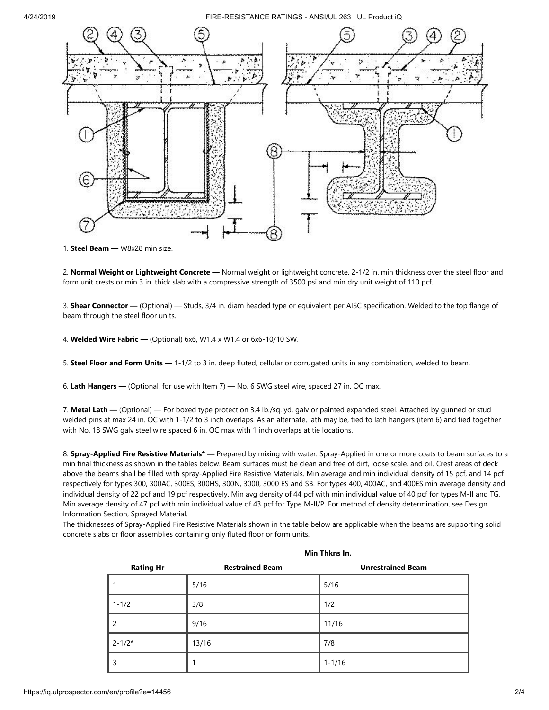

1. **Steel Beam —** W8x28 min size.

2. **Normal Weight or Lightweight Concrete —** Normal weight or lightweight concrete, 2-1/2 in. min thickness over the steel floor and form unit crests or min 3 in. thick slab with a compressive strength of 3500 psi and min dry unit weight of 110 pcf.

3. **Shear Connector —** (Optional) — Studs, 3/4 in. diam headed type or equivalent per AISC specification. Welded to the top flange of beam through the steel floor units.

4. **Welded Wire Fabric —** (Optional) 6x6, W1.4 x W1.4 or 6x6-10/10 SW.

5. **Steel Floor and Form Units —** 1-1/2 to 3 in. deep fluted, cellular or corrugated units in any combination, welded to beam.

6. **Lath Hangers —** (Optional, for use with Item 7) — No. 6 SWG steel wire, spaced 27 in. OC max.

7. **Metal Lath —** (Optional) — For boxed type protection 3.4 lb./sq. yd. galv or painted expanded steel. Attached by gunned or stud welded pins at max 24 in. OC with 1-1/2 to 3 inch overlaps. As an alternate, lath may be, tied to lath hangers (item 6) and tied together with No. 18 SWG galv steel wire spaced 6 in. OC max with 1 inch overlaps at tie locations.

8. **Spray-Applied Fire Resistive Materials\* —** Prepared by mixing with water. Spray-Applied in one or more coats to beam surfaces to a min final thickness as shown in the tables below. Beam surfaces must be clean and free of dirt, loose scale, and oil. Crest areas of deck above the beams shall be filled with spray-Applied Fire Resistive Materials. Min average and min individual density of 15 pcf, and 14 pcf respectively for types 300, 300AC, 300ES, 300HS, 300N, 3000, 3000 ES and SB. For types 400, 400AC, and 400ES min average density and individual density of 22 pcf and 19 pcf respectively. Min avg density of 44 pcf with min individual value of 40 pcf for types M-II and TG. Min average density of 47 pcf with min individual value of 43 pcf for Type M-II/P. For method of density determination, see Design Information Section, Sprayed Material.

The thicknesses of Spray-Applied Fire Resistive Materials shown in the table below are applicable when the beams are supporting solid concrete slabs or floor assemblies containing only fluted floor or form units.

|                  | Min Thkns In.          |                          |  |
|------------------|------------------------|--------------------------|--|
| <b>Rating Hr</b> | <b>Restrained Beam</b> | <b>Unrestrained Beam</b> |  |
|                  | 5/16                   | 5/16                     |  |
| $1 - 1/2$        | 3/8                    | 1/2                      |  |
| 2                | 9/16                   | 11/16                    |  |
| $2 - 1/2*$       | 13/16                  | 7/8                      |  |
| 3                |                        | $1 - 1/16$               |  |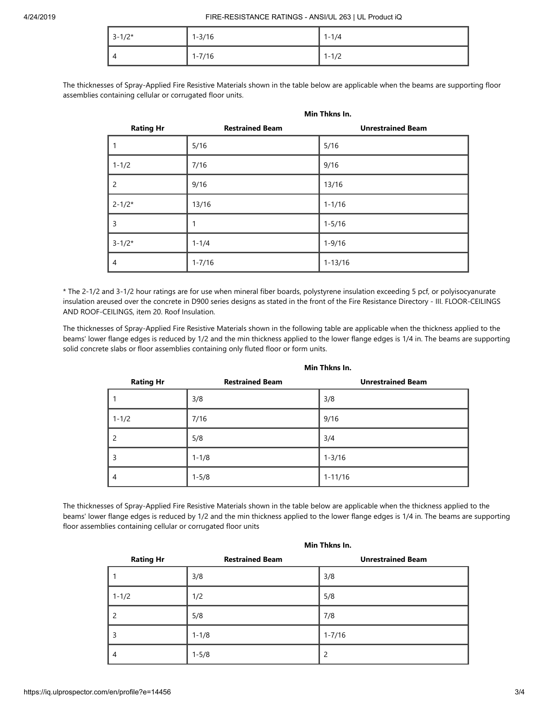| $3 - 1/2*$ | $1 - 3/16$ | $1 - 1/4$ |
|------------|------------|-----------|
| 4          | $1 - 7/16$ | $1 - 1/2$ |

The thicknesses of Spray-Applied Fire Resistive Materials shown in the table below are applicable when the beams are supporting floor assemblies containing cellular or corrugated floor units.

|                  | Min Thkns In.          |                          |
|------------------|------------------------|--------------------------|
| <b>Rating Hr</b> | <b>Restrained Beam</b> | <b>Unrestrained Beam</b> |
| 1                | 5/16                   | 5/16                     |
| $1 - 1/2$        | 7/16                   | 9/16                     |
| $\overline{2}$   | 9/16                   | 13/16                    |
| $2 - 1/2*$       | 13/16                  | $1 - 1/16$               |
| 3                | 1                      | $1 - 5/16$               |
| $3 - 1/2*$       | $1 - 1/4$              | $1 - 9/16$               |
| $\overline{4}$   | $1 - 7/16$             | $1 - 13/16$              |

\* The 2-1/2 and 3-1/2 hour ratings are for use when mineral fiber boards, polystyrene insulation exceeding 5 pcf, or polyisocyanurate insulation areused over the concrete in D900 series designs as stated in the front of the Fire Resistance Directory - III. FLOOR-CEILINGS AND ROOF-CEILINGS, item 20. Roof Insulation.

The thicknesses of Spray-Applied Fire Resistive Materials shown in the following table are applicable when the thickness applied to the beams' lower flange edges is reduced by 1/2 and the min thickness applied to the lower flange edges is 1/4 in. The beams are supporting solid concrete slabs or floor assemblies containing only fluted floor or form units.

| <b>Rating Hr</b> | <b>Restrained Beam</b> | <b>Unrestrained Beam</b> |
|------------------|------------------------|--------------------------|
|                  | 3/8                    | 3/8                      |
| $1 - 1/2$        | 7/16                   | 9/16                     |
| $\mathcal{P}$    | 5/8                    | 3/4                      |
| 3                | $1 - 1/8$              | $1 - 3/16$               |
| 4                | $1 - 5/8$              | $1 - 11/16$              |

**Min Thkns In.**

The thicknesses of Spray-Applied Fire Resistive Materials shown in the table below are applicable when the thickness applied to the beams' lower flange edges is reduced by 1/2 and the min thickness applied to the lower flange edges is 1/4 in. The beams are supporting floor assemblies containing cellular or corrugated floor units

| <b>Rating Hr</b> | <b>Restrained Beam</b> | <b>Unrestrained Beam</b> |
|------------------|------------------------|--------------------------|
|                  | 3/8                    | 3/8                      |
| $1 - 1/2$        | 1/2                    | 5/8                      |
| $\overline{c}$   | 5/8                    | 7/8                      |
| 3                | $1 - 1/8$              | $1 - 7/16$               |
| $\overline{4}$   | $1 - 5/8$              | $\overline{2}$           |

#### **Min Thkns In.**